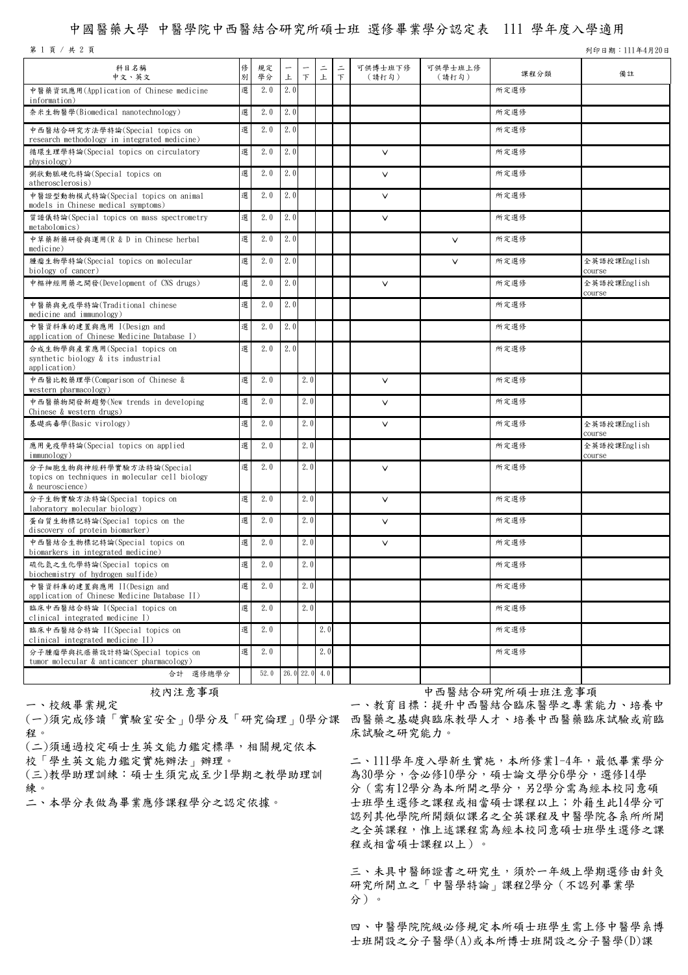## 中國醫藥大學 中醫學院中西醫結合研究所碩士班 選修畢業學分認定表 111 學年度入學適用

第 1 頁 / 共 2 頁 列印日期:111年4月20日

| 科目名稱<br>中文、英文                                                                                  | 俢<br>別 | 規定<br>學分 | 上   | 下               | 드<br>上 | 드<br>$\top$ | 可供博士班下修<br>(請打勾) | 可供學士班上修<br>(請打勾) | 課程分類 | 備註                     |
|------------------------------------------------------------------------------------------------|--------|----------|-----|-----------------|--------|-------------|------------------|------------------|------|------------------------|
| 中醫藥資訊應用(Application of Chinese medicine<br>information)                                        | 選      | 2.0      | 2.0 |                 |        |             |                  |                  | 所定選修 |                        |
| 奈米生物醫學(Biomedical nanotechnology)                                                              | 選      | 2.0      | 2.0 |                 |        |             |                  |                  | 所定選修 |                        |
| 中西醫結合研究方法學特論(Special topics on<br>research methodology in integrated medicine)                 | 選      | 2.0      | 2.0 |                 |        |             |                  |                  | 所定選修 |                        |
| 循環生理學特論(Special topics on circulatory<br>physiology)                                           | 選      | 2.0      | 2.0 |                 |        |             | $\vee$           |                  | 所定選修 |                        |
| 粥狀動脈硬化特論(Special topics on<br>atherosclerosis)                                                 | 選      | 2.0      | 2.0 |                 |        |             | $\vee$           |                  | 所定選修 |                        |
| 中醫證型動物模式特論(Special topics on animal<br>models in Chinese medical symptoms)                     | 選      | 2.0      | 2.0 |                 |        |             | $\vee$           |                  | 所定選修 |                        |
| 質譜儀特論(Special topics on mass spectrometry<br>metabolomics)                                     | 選      | 2.0      | 2.0 |                 |        |             | $\vee$           |                  | 所定選修 |                        |
| 中草藥新藥研發與運用(R & D in Chinese herbal<br>medicine)                                                | 選      | 2.0      | 2.0 |                 |        |             |                  | V                | 所定選修 |                        |
| 腫瘤生物學特論(Special topics on molecular<br>biology of cancer)                                      | 選      | 2.0      | 2.0 |                 |        |             |                  | $\checkmark$     | 所定選修 | 全英語授課English<br>course |
| 中樞神經用藥之開發(Development of CNS drugs)                                                            | 選      | 2.0      | 2.0 |                 |        |             | $\vee$           |                  | 所定選修 | 全英語授課English<br>course |
| 中醫藥與免疫學特論(Traditional chinese<br>medicine and immunology)                                      | 選      | 2.0      | 2.0 |                 |        |             |                  |                  | 所定選修 |                        |
| 中醫資料庫的建置與應用 I(Design and<br>application of Chinese Medicine Database I)                        | 選      | 2.0      | 2.0 |                 |        |             |                  |                  | 所定選修 |                        |
| 合成生物學與產業應用(Special topics on<br>synthetic biology & its industrial<br>application)             | 選      | 2.0      | 2.0 |                 |        |             |                  |                  | 所定選修 |                        |
| 中西醫比較藥理學(Comparison of Chinese &<br>western pharmacology)                                      | 選      | 2.0      |     | 2.0             |        |             | $\vee$           |                  | 所定選修 |                        |
| 中西醫藥物開發新趨勢(New trends in developing<br>Chinese & western drugs)                                | 選      | 2.0      |     | 2.0             |        |             | $\vee$           |                  | 所定選修 |                        |
| 基礎病毒學(Basic virology)                                                                          | 選      | 2.0      |     | 2.0             |        |             | $\vee$           |                  | 所定選修 | 全英語授課English<br>course |
| 應用免疫學特論(Special topics on applied<br>immunology)                                               | 選      | 2.0      |     | 2.0             |        |             |                  |                  | 所定選修 | 全英語授課English<br>course |
| 分子細胞生物與神經科學實驗方法特論(Special<br>topics on techniques in molecular cell biology<br>& neuroscience) | 選      | 2.0      |     | 2.0             |        |             | $\vee$           |                  | 所定選修 |                        |
| 分子生物實驗方法特論(Special topics on<br>laboratory molecular biology)                                  | 選      | 2.0      |     | 2.0             |        |             | $\vee$           |                  | 所定選修 |                        |
| 蛋白質生物標記特論(Special topics on the<br>discovery of protein biomarker)                             | 選      | 2.0      |     | 2.0             |        |             | $\vee$           |                  | 所定選修 |                        |
| 中西醫結合生物標記特論(Special topics on<br>biomarkers in integrated medicine)                            | 選      | 2.0      |     | 2.0             |        |             | $\checkmark$     |                  | 所定選修 |                        |
| 硫化氫之生化學特論(Special topics on<br>biochemistry of hydrogen sulfide)                               | 選      | 2.0      |     | 2.0             |        |             |                  |                  | 所定選修 |                        |
| 中醫資料庫的建置與應用 II(Design and<br>application of Chinese Medicine Database II)                      | 選      | 2.0      |     | 2.0             |        |             |                  |                  | 所定選修 |                        |
| 臨床中西醫結合特論 I(Special topics on<br>clinical integrated medicine I)                               | 選      | 2.0      |     | 2.0             |        |             |                  |                  | 所定選修 |                        |
| 臨床中西醫結合特論 II(Special topics on<br>clinical integrated medicine II)                             | 選      | 2.0      |     |                 | 2.0    |             |                  |                  | 所定選修 |                        |
| 分子腫瘤學與抗癌藥設計特論(Special topics on<br>tumor molecular & anticancer pharmacology)                  | 選      | 2.0      |     |                 | 2.0    |             |                  |                  | 所定選修 |                        |
| 合計 選修總學分                                                                                       |        | 52.0     |     | $26.0$ 22.0 4.0 |        |             |                  |                  |      |                        |

(一)須完成修讀「實驗室安全」0學分及「研究倫理」0學分課 西醫藥之基礎與臨床教學人才、培養中西醫藥臨床試驗或前臨 程。

(二)須通過校定碩士生英文能力鑑定標準,相關規定依本

校「學生英文能力鑑定實施辦法」辦理。

一、校級畢業規定

(三)教學助理訓練:碩士生須完成至少1學期之教學助理訓 練。<br>二、本學分表做為畢業應修課程學分之認定依據。

校內注意事項 有效的 医二十二十二十一十一 医结合研究所硕士班注意事項

一、教育目標:提升中西醫結合臨床醫學之專業能力、培養中 床試驗之研究能力。

二、111學年度入學新生實施,本所修業1-4年,最低畢業學分 為30學分,含必修10學分,碩士論文學分6學分,選修14學 分(需有12學分為本所開之學分,另2學分需為經本校同意碩 士班學生選修之課程或相當碩士課程以上;外籍生此14學分可 認列其他學院所開類似課名之全英課程及中醫學院各系所所開 之全英課程,惟上述課程需為經本校同意碩士班學生選修之課 程或相當碩士課程以上)。

三、未具中醫師證書之研究生,須於一年級上學期選修由針灸 研究所開立之「中醫學特論」課程2學分(不認列畢業學 分)。

四、中醫學院院級必修規定本所碩士班學生需上修中醫學系博 士班開設之分子醫學(A)或本所博士班開設之分子醫學(D)課